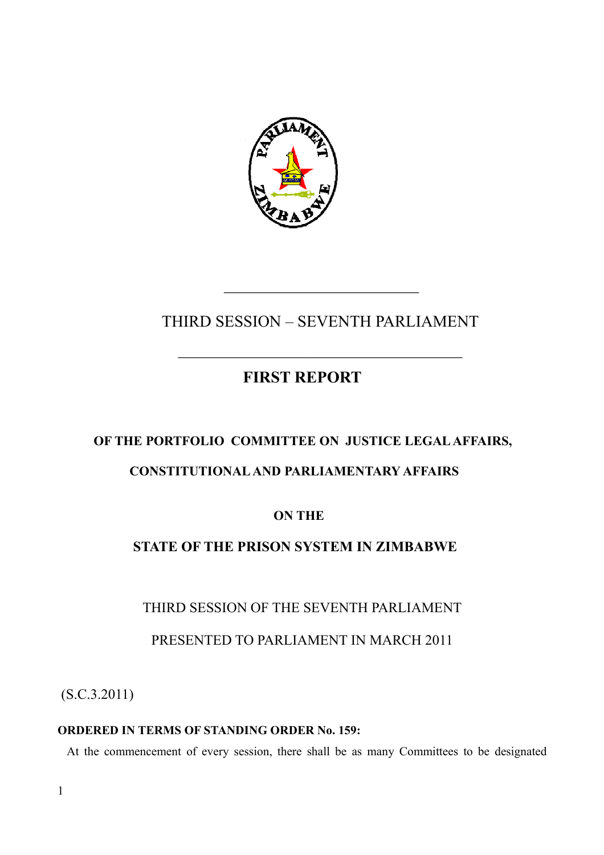

\_\_\_\_\_\_\_\_\_\_\_\_\_\_\_\_\_\_\_\_\_\_\_\_

# THIRD SESSION – SEVENTH PARLIAMENT

 $\mathcal{L}_\text{max}$ 

# **FIRST REPORT**

# **OF THE PORTFOLIO COMMITTEE ON JUSTICE LEGAL AFFAIRS,**

# **CONSTITUTIONAL AND PARLIAMENTARY AFFAIRS**

# **ON THE**

# **STATE OF THE PRISON SYSTEM IN ZIMBABWE**

# THIRD SESSION OF THE SEVENTH PARLIAMENT

# PRESENTED TO PARLIAMENT IN MARCH 2011

(S.C.3.2011)

# **ORDERED IN TERMS OF STANDING ORDER No. 159:**

At the commencement of every session, there shall be as many Committees to be designated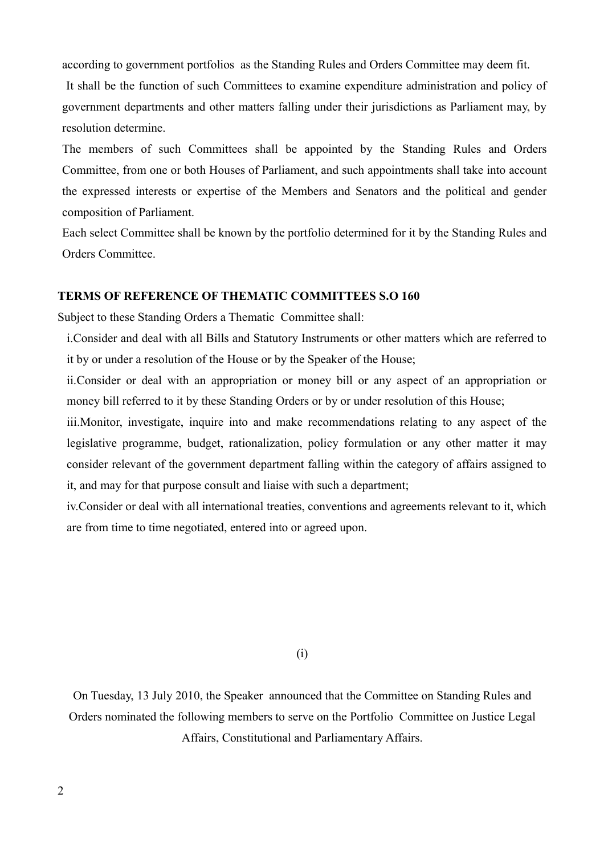according to government portfolios as the Standing Rules and Orders Committee may deem fit.

 It shall be the function of such Committees to examine expenditure administration and policy of government departments and other matters falling under their jurisdictions as Parliament may, by resolution determine.

The members of such Committees shall be appointed by the Standing Rules and Orders Committee, from one or both Houses of Parliament, and such appointments shall take into account the expressed interests or expertise of the Members and Senators and the political and gender composition of Parliament.

Each select Committee shall be known by the portfolio determined for it by the Standing Rules and Orders Committee.

# **TERMS OF REFERENCE OF THEMATIC COMMITTEES S.O 160**

Subject to these Standing Orders a Thematic Committee shall:

i.Consider and deal with all Bills and Statutory Instruments or other matters which are referred to it by or under a resolution of the House or by the Speaker of the House;

ii.Consider or deal with an appropriation or money bill or any aspect of an appropriation or money bill referred to it by these Standing Orders or by or under resolution of this House;

iii.Monitor, investigate, inquire into and make recommendations relating to any aspect of the legislative programme, budget, rationalization, policy formulation or any other matter it may consider relevant of the government department falling within the category of affairs assigned to it, and may for that purpose consult and liaise with such a department;

iv.Consider or deal with all international treaties, conventions and agreements relevant to it, which are from time to time negotiated, entered into or agreed upon.

(i)

On Tuesday, 13 July 2010, the Speaker announced that the Committee on Standing Rules and Orders nominated the following members to serve on the Portfolio Committee on Justice Legal Affairs, Constitutional and Parliamentary Affairs.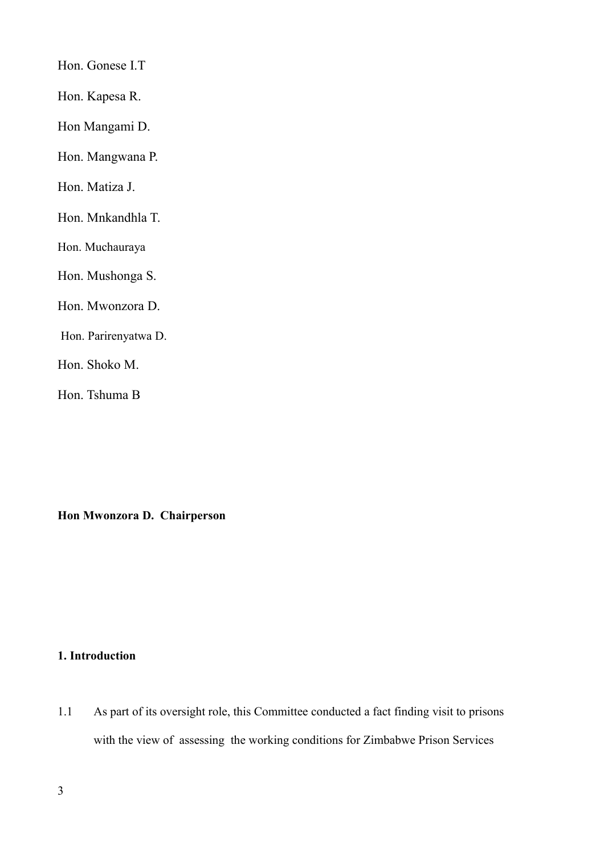Hon. Gonese I.T

Hon. Kapesa R.

Hon Mangami D.

Hon. Mangwana P.

Hon. Matiza J.

Hon. Mnkandhla T.

Hon. Muchauraya

Hon. Mushonga S.

Hon. Mwonzora D.

Hon. Parirenyatwa D.

Hon. Shoko M.

Hon. Tshuma B

**Hon Mwonzora D. Chairperson**

# **1. Introduction**

1.1 As part of its oversight role, this Committee conducted a fact finding visit to prisons with the view of assessing the working conditions for Zimbabwe Prison Services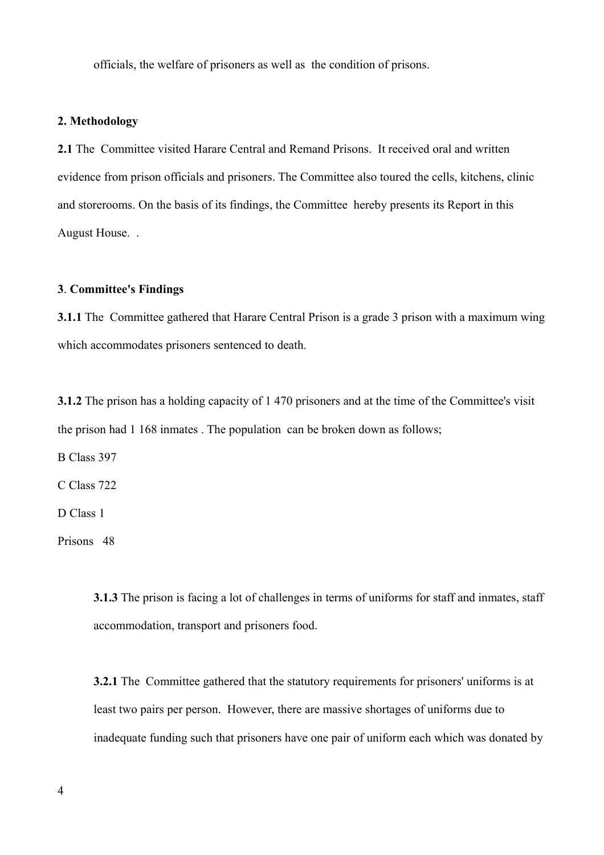officials, the welfare of prisoners as well as the condition of prisons.

# **2. Methodology**

2.1 The Committee visited Harare Central and Remand Prisons. It received oral and written evidence from prison officials and prisoners. The Committee also toured the cells, kitchens, clinic and storerooms. On the basis of its findings, the Committee hereby presents its Report in this August House. .

# **3**. **Committee's Findings**

**3.1.1** The Committee gathered that Harare Central Prison is a grade 3 prison with a maximum wing which accommodates prisoners sentenced to death.

**3.1.2** The prison has a holding capacity of 1 470 prisoners and at the time of the Committee's visit the prison had 1 168 inmates . The population can be broken down as follows;

B Class 397

C Class 722

D Class 1

Prisons 48

**3.1.3** The prison is facing a lot of challenges in terms of uniforms for staff and inmates, staff accommodation, transport and prisoners food.

**3.2.1** The Committee gathered that the statutory requirements for prisoners' uniforms is at least two pairs per person. However, there are massive shortages of uniforms due to inadequate funding such that prisoners have one pair of uniform each which was donated by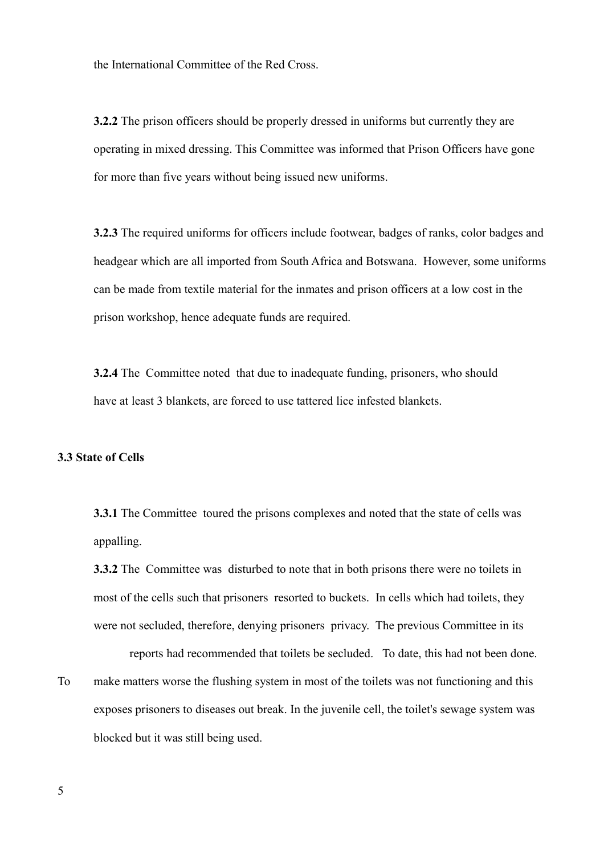the International Committee of the Red Cross.

**3.2.2** The prison officers should be properly dressed in uniforms but currently they are operating in mixed dressing. This Committee was informed that Prison Officers have gone for more than five years without being issued new uniforms.

**3.2.3** The required uniforms for officers include footwear, badges of ranks, color badges and headgear which are all imported from South Africa and Botswana. However, some uniforms can be made from textile material for the inmates and prison officers at a low cost in the prison workshop, hence adequate funds are required.

**3.2.4** The Committee noted that due to inadequate funding, prisoners, who should have at least 3 blankets, are forced to use tattered lice infested blankets.

#### **3.3 State of Cells**

**3.3.1** The Committee toured the prisons complexes and noted that the state of cells was appalling.

**3.3.2** The Committee was disturbed to note that in both prisons there were no toilets in most of the cells such that prisoners resorted to buckets. In cells which had toilets, they were not secluded, therefore, denying prisoners privacy. The previous Committee in its

reports had recommended that toilets be secluded. To date, this had not been done. To make matters worse the flushing system in most of the toilets was not functioning and this exposes prisoners to diseases out break. In the juvenile cell, the toilet's sewage system was blocked but it was still being used.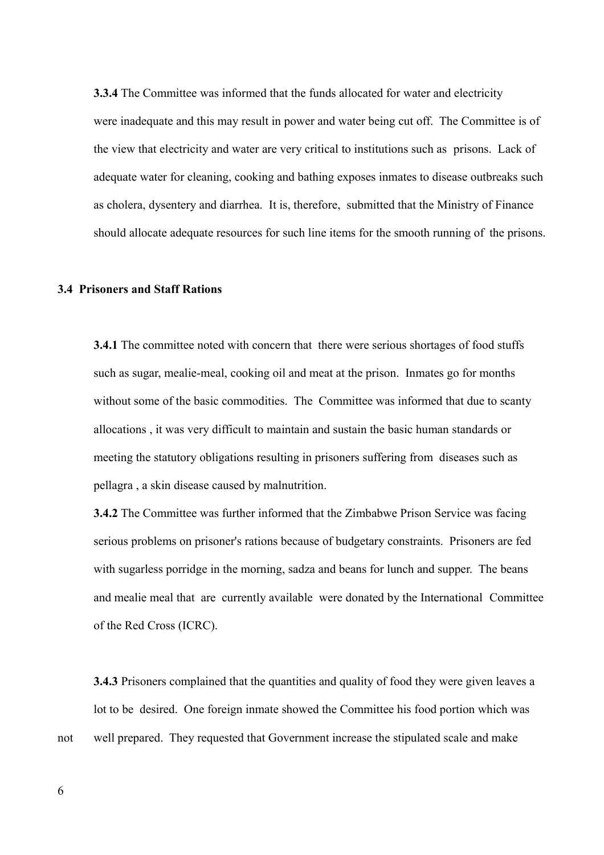**3.3.4** The Committee was informed that the funds allocated for water and electricity were inadequate and this may result in power and water being cut off. The Committee is of the view that electricity and water are very critical to institutions such as prisons. Lack of adequate water for cleaning, cooking and bathing exposes inmates to disease outbreaks such as cholera, dysentery and diarrhea. It is, therefore, submitted that the Ministry of Finance should allocate adequate resources for such line items for the smooth running of the prisons.

# **3.4 Prisoners and Staff Rations**

**3.4.1** The committee noted with concern that there were serious shortages of food stuffs such as sugar, mealie-meal, cooking oil and meat at the prison. Inmates go for months without some of the basic commodities. The Committee was informed that due to scanty allocations , it was very difficult to maintain and sustain the basic human standards or meeting the statutory obligations resulting in prisoners suffering from diseases such as pellagra , a skin disease caused by malnutrition.

**3.4.2** The Committee was further informed that the Zimbabwe Prison Service was facing serious problems on prisoner's rations because of budgetary constraints. Prisoners are fed with sugarless porridge in the morning, sadza and beans for lunch and supper. The beans and mealie meal that are currently available were donated by the International Committee of the Red Cross (ICRC).

**3.4.3** Prisoners complained that the quantities and quality of food they were given leaves a lot to be desired. One foreign inmate showed the Committee his food portion which was not well prepared. They requested that Government increase the stipulated scale and make

6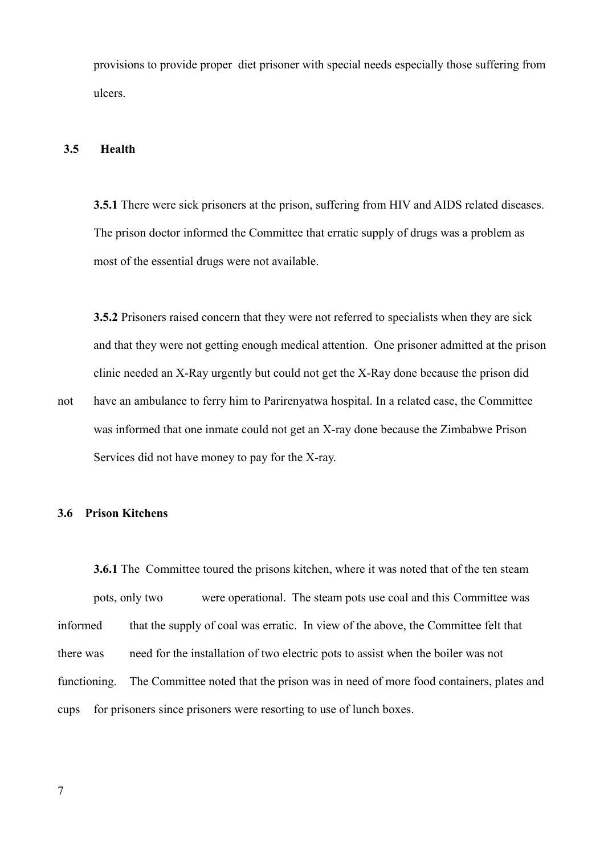provisions to provide proper diet prisoner with special needs especially those suffering from ulcers.

### **3.5 Health**

**3.5.1** There were sick prisoners at the prison, suffering from HIV and AIDS related diseases. The prison doctor informed the Committee that erratic supply of drugs was a problem as most of the essential drugs were not available.

**3.5.2** Prisoners raised concern that they were not referred to specialists when they are sick and that they were not getting enough medical attention. One prisoner admitted at the prison clinic needed an X-Ray urgently but could not get the X-Ray done because the prison did

not have an ambulance to ferry him to Parirenyatwa hospital. In a related case, the Committee was informed that one inmate could not get an X-ray done because the Zimbabwe Prison Services did not have money to pay for the X-ray.

#### **3.6 Prison Kitchens**

**3.6.1** The Committee toured the prisons kitchen, where it was noted that of the ten steam pots, only two were operational. The steam pots use coal and this Committee was informed that the supply of coal was erratic. In view of the above, the Committee felt that there was need for the installation of two electric pots to assist when the boiler was not functioning. The Committee noted that the prison was in need of more food containers, plates and cups for prisoners since prisoners were resorting to use of lunch boxes.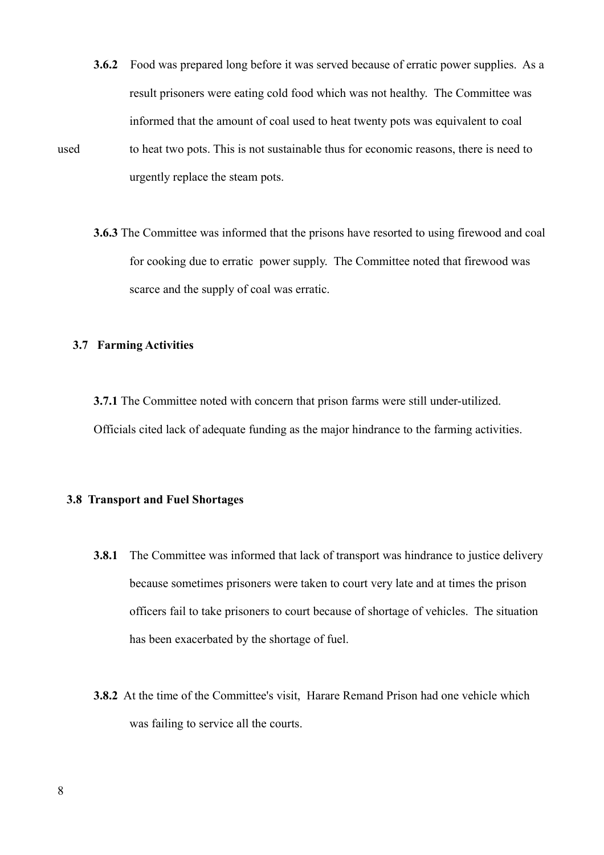- **3.6.2** Food was prepared long before it was served because of erratic power supplies. As a result prisoners were eating cold food which was not healthy. The Committee was informed that the amount of coal used to heat twenty pots was equivalent to coal used to heat two pots. This is not sustainable thus for economic reasons, there is need to urgently replace the steam pots.
	- **3.6.3** The Committee was informed that the prisons have resorted to using firewood and coal for cooking due to erratic power supply. The Committee noted that firewood was scarce and the supply of coal was erratic.

# **3.7 Farming Activities**

**3.7.1** The Committee noted with concern that prison farms were still under-utilized. Officials cited lack of adequate funding as the major hindrance to the farming activities.

## **3.8 Transport and Fuel Shortages**

- **3.8.1** The Committee was informed that lack of transport was hindrance to justice delivery because sometimes prisoners were taken to court very late and at times the prison officers fail to take prisoners to court because of shortage of vehicles. The situation has been exacerbated by the shortage of fuel.
- **3.8.2** At the time of the Committee's visit, Harare Remand Prison had one vehicle which was failing to service all the courts.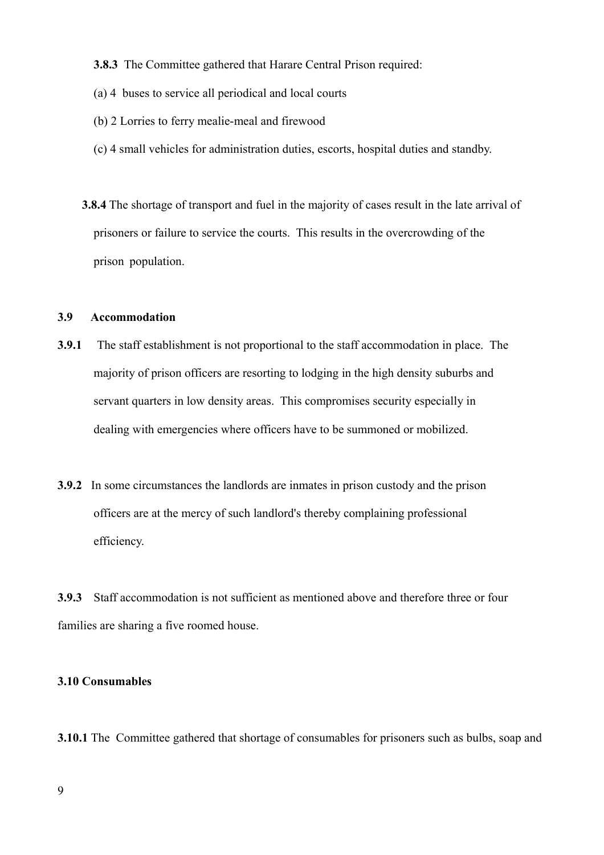**3.8.3** The Committee gathered that Harare Central Prison required:

- (a) 4 buses to service all periodical and local courts
- (b) 2 Lorries to ferry mealie-meal and firewood
- (c) 4 small vehicles for administration duties, escorts, hospital duties and standby.
- **3.8.4** The shortage of transport and fuel in the majority of cases result in the late arrival of prisoners or failure to service the courts. This results in the overcrowding of the prison population.

# **3.9 Accommodation**

- **3.9.1** The staff establishment is not proportional to the staff accommodation in place. The majority of prison officers are resorting to lodging in the high density suburbs and servant quarters in low density areas. This compromises security especially in dealing with emergencies where officers have to be summoned or mobilized.
- **3.9.2** In some circumstances the landlords are inmates in prison custody and the prison officers are at the mercy of such landlord's thereby complaining professional efficiency.

**3.9.3** Staff accommodation is not sufficient as mentioned above and therefore three or four families are sharing a five roomed house.

# **3.10 Consumables**

**3.10.1** The Committee gathered that shortage of consumables for prisoners such as bulbs, soap and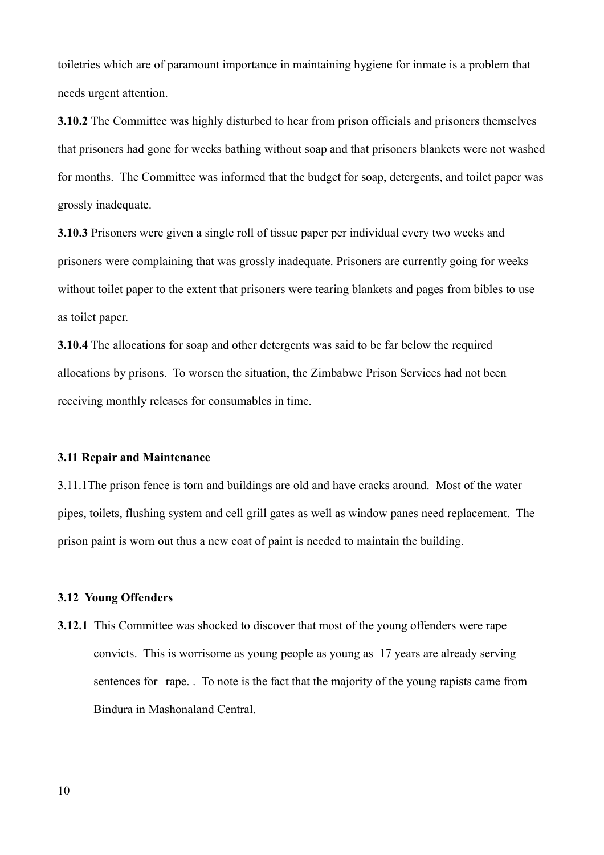toiletries which are of paramount importance in maintaining hygiene for inmate is a problem that needs urgent attention.

**3.10.2** The Committee was highly disturbed to hear from prison officials and prisoners themselves that prisoners had gone for weeks bathing without soap and that prisoners blankets were not washed for months. The Committee was informed that the budget for soap, detergents, and toilet paper was grossly inadequate.

**3.10.3** Prisoners were given a single roll of tissue paper per individual every two weeks and prisoners were complaining that was grossly inadequate. Prisoners are currently going for weeks without toilet paper to the extent that prisoners were tearing blankets and pages from bibles to use as toilet paper.

**3.10.4** The allocations for soap and other detergents was said to be far below the required allocations by prisons. To worsen the situation, the Zimbabwe Prison Services had not been receiving monthly releases for consumables in time.

#### **3.11 Repair and Maintenance**

3.11.1The prison fence is torn and buildings are old and have cracks around. Most of the water pipes, toilets, flushing system and cell grill gates as well as window panes need replacement. The prison paint is worn out thus a new coat of paint is needed to maintain the building.

### **3.12 Young Offenders**

**3.12.1** This Committee was shocked to discover that most of the young offenders were rape convicts. This is worrisome as young people as young as 17 years are already serving sentences for rape. . To note is the fact that the majority of the young rapists came from Bindura in Mashonaland Central.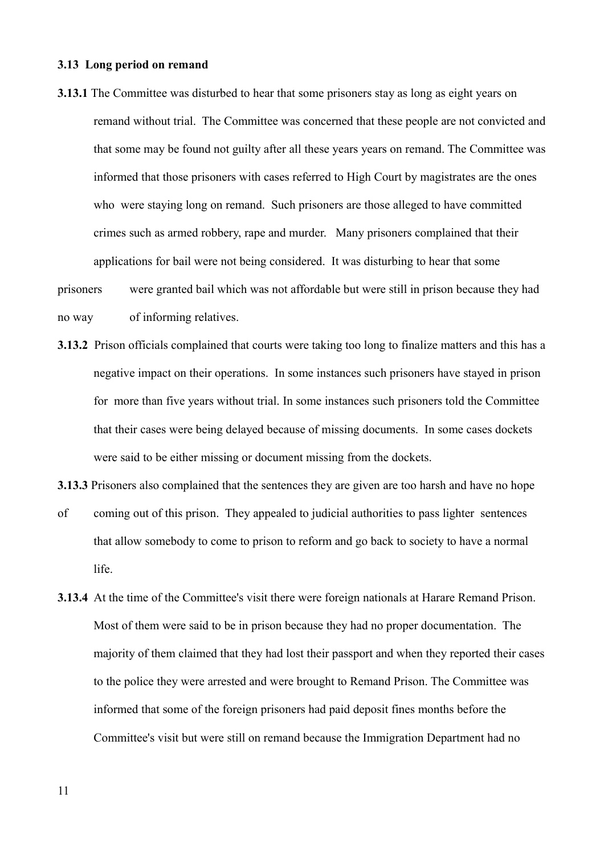### **3.13 Long period on remand**

- **3.13.1** The Committee was disturbed to hear that some prisoners stay as long as eight years on remand without trial. The Committee was concerned that these people are not convicted and that some may be found not guilty after all these years years on remand. The Committee was informed that those prisoners with cases referred to High Court by magistrates are the ones who were staying long on remand. Such prisoners are those alleged to have committed crimes such as armed robbery, rape and murder. Many prisoners complained that their applications for bail were not being considered. It was disturbing to hear that some
- prisoners were granted bail which was not affordable but were still in prison because they had no way of informing relatives.
- **3.13.2** Prison officials complained that courts were taking too long to finalize matters and this has a negative impact on their operations. In some instances such prisoners have stayed in prison for more than five years without trial. In some instances such prisoners told the Committee that their cases were being delayed because of missing documents. In some cases dockets were said to be either missing or document missing from the dockets.

**3.13.3** Prisoners also complained that the sentences they are given are too harsh and have no hope

- of coming out of this prison. They appealed to judicial authorities to pass lighter sentences that allow somebody to come to prison to reform and go back to society to have a normal life.
- **3.13.4** At the time of the Committee's visit there were foreign nationals at Harare Remand Prison. Most of them were said to be in prison because they had no proper documentation. The majority of them claimed that they had lost their passport and when they reported their cases to the police they were arrested and were brought to Remand Prison. The Committee was informed that some of the foreign prisoners had paid deposit fines months before the Committee's visit but were still on remand because the Immigration Department had no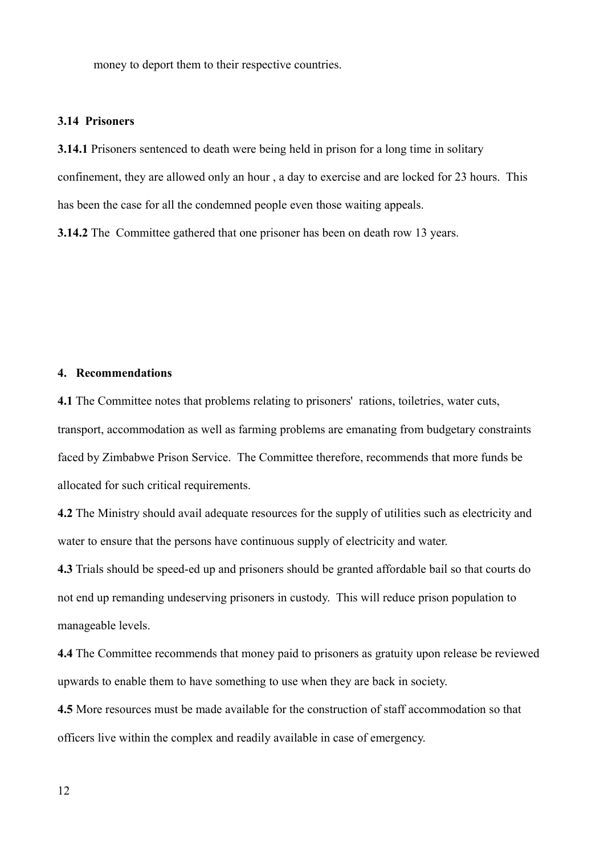money to deport them to their respective countries.

## **3.14 Prisoners**

**3.14.1** Prisoners sentenced to death were being held in prison for a long time in solitary confinement, they are allowed only an hour , a day to exercise and are locked for 23 hours. This has been the case for all the condemned people even those waiting appeals.

**3.14.2** The Committee gathered that one prisoner has been on death row 13 years.

## **4. Recommendations**

**4.1** The Committee notes that problems relating to prisoners' rations, toiletries, water cuts, transport, accommodation as well as farming problems are emanating from budgetary constraints faced by Zimbabwe Prison Service. The Committee therefore, recommends that more funds be allocated for such critical requirements.

**4.2** The Ministry should avail adequate resources for the supply of utilities such as electricity and water to ensure that the persons have continuous supply of electricity and water.

**4.3** Trials should be speed-ed up and prisoners should be granted affordable bail so that courts do not end up remanding undeserving prisoners in custody. This will reduce prison population to manageable levels.

**4.4** The Committee recommends that money paid to prisoners as gratuity upon release be reviewed upwards to enable them to have something to use when they are back in society.

**4.5** More resources must be made available for the construction of staff accommodation so that officers live within the complex and readily available in case of emergency.